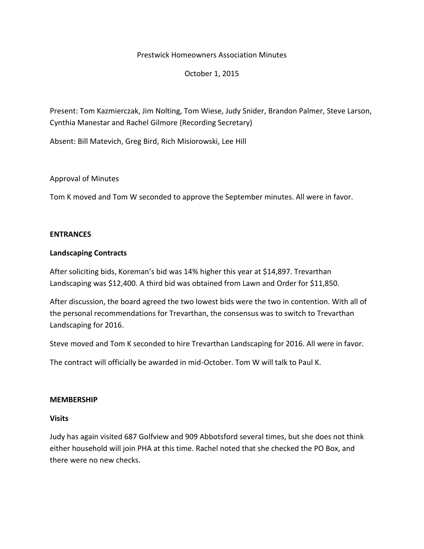#### Prestwick Homeowners Association Minutes

### October 1, 2015

Present: Tom Kazmierczak, Jim Nolting, Tom Wiese, Judy Snider, Brandon Palmer, Steve Larson, Cynthia Manestar and Rachel Gilmore (Recording Secretary)

Absent: Bill Matevich, Greg Bird, Rich Misiorowski, Lee Hill

### Approval of Minutes

Tom K moved and Tom W seconded to approve the September minutes. All were in favor.

### **ENTRANCES**

### **Landscaping Contracts**

After soliciting bids, Koreman's bid was 14% higher this year at \$14,897. Trevarthan Landscaping was \$12,400. A third bid was obtained from Lawn and Order for \$11,850.

After discussion, the board agreed the two lowest bids were the two in contention. With all of the personal recommendations for Trevarthan, the consensus was to switch to Trevarthan Landscaping for 2016.

Steve moved and Tom K seconded to hire Trevarthan Landscaping for 2016. All were in favor.

The contract will officially be awarded in mid-October. Tom W will talk to Paul K.

### **MEMBERSHIP**

### **Visits**

Judy has again visited 687 Golfview and 909 Abbotsford several times, but she does not think either household will join PHA at this time. Rachel noted that she checked the PO Box, and there were no new checks.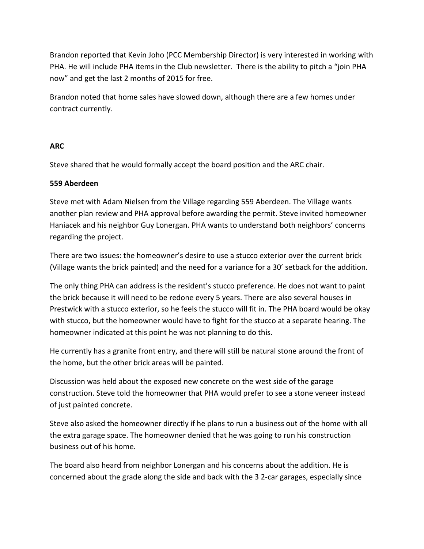Brandon reported that Kevin Joho (PCC Membership Director) is very interested in working with PHA. He will include PHA items in the Club newsletter. There is the ability to pitch a "join PHA now" and get the last 2 months of 2015 for free.

Brandon noted that home sales have slowed down, although there are a few homes under contract currently.

### **ARC**

Steve shared that he would formally accept the board position and the ARC chair.

# **559 Aberdeen**

Steve met with Adam Nielsen from the Village regarding 559 Aberdeen. The Village wants another plan review and PHA approval before awarding the permit. Steve invited homeowner Haniacek and his neighbor Guy Lonergan. PHA wants to understand both neighbors' concerns regarding the project.

There are two issues: the homeowner's desire to use a stucco exterior over the current brick (Village wants the brick painted) and the need for a variance for a 30' setback for the addition.

The only thing PHA can address is the resident's stucco preference. He does not want to paint the brick because it will need to be redone every 5 years. There are also several houses in Prestwick with a stucco exterior, so he feels the stucco will fit in. The PHA board would be okay with stucco, but the homeowner would have to fight for the stucco at a separate hearing. The homeowner indicated at this point he was not planning to do this.

He currently has a granite front entry, and there will still be natural stone around the front of the home, but the other brick areas will be painted.

Discussion was held about the exposed new concrete on the west side of the garage construction. Steve told the homeowner that PHA would prefer to see a stone veneer instead of just painted concrete.

Steve also asked the homeowner directly if he plans to run a business out of the home with all the extra garage space. The homeowner denied that he was going to run his construction business out of his home.

The board also heard from neighbor Lonergan and his concerns about the addition. He is concerned about the grade along the side and back with the 3 2-car garages, especially since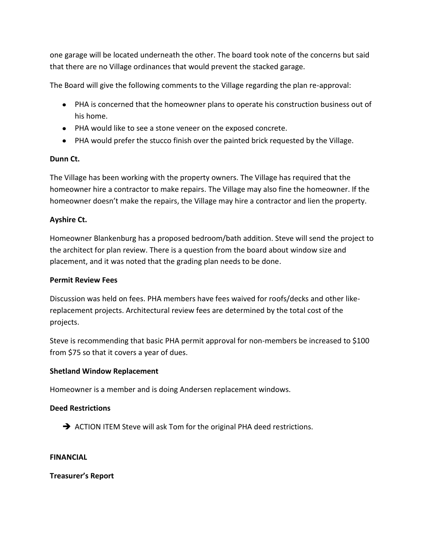one garage will be located underneath the other. The board took note of the concerns but said that there are no Village ordinances that would prevent the stacked garage.

The Board will give the following comments to the Village regarding the plan re-approval:

- PHA is concerned that the homeowner plans to operate his construction business out of his home.
- PHA would like to see a stone veneer on the exposed concrete.
- PHA would prefer the stucco finish over the painted brick requested by the Village.

# **Dunn Ct.**

The Village has been working with the property owners. The Village has required that the homeowner hire a contractor to make repairs. The Village may also fine the homeowner. If the homeowner doesn't make the repairs, the Village may hire a contractor and lien the property.

# **Ayshire Ct.**

Homeowner Blankenburg has a proposed bedroom/bath addition. Steve will send the project to the architect for plan review. There is a question from the board about window size and placement, and it was noted that the grading plan needs to be done.

# **Permit Review Fees**

Discussion was held on fees. PHA members have fees waived for roofs/decks and other likereplacement projects. Architectural review fees are determined by the total cost of the projects.

Steve is recommending that basic PHA permit approval for non-members be increased to \$100 from \$75 so that it covers a year of dues.

# **Shetland Window Replacement**

Homeowner is a member and is doing Andersen replacement windows.

# **Deed Restrictions**

ACTION ITEM Steve will ask Tom for the original PHA deed restrictions.

### **FINANCIAL**

**Treasurer's Report**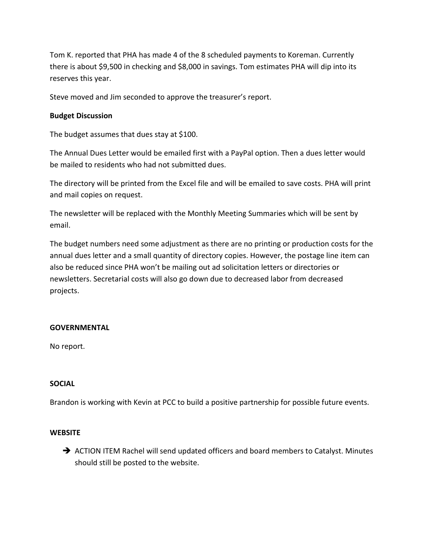Tom K. reported that PHA has made 4 of the 8 scheduled payments to Koreman. Currently there is about \$9,500 in checking and \$8,000 in savings. Tom estimates PHA will dip into its reserves this year.

Steve moved and Jim seconded to approve the treasurer's report.

### **Budget Discussion**

The budget assumes that dues stay at \$100.

The Annual Dues Letter would be emailed first with a PayPal option. Then a dues letter would be mailed to residents who had not submitted dues.

The directory will be printed from the Excel file and will be emailed to save costs. PHA will print and mail copies on request.

The newsletter will be replaced with the Monthly Meeting Summaries which will be sent by email.

The budget numbers need some adjustment as there are no printing or production costs for the annual dues letter and a small quantity of directory copies. However, the postage line item can also be reduced since PHA won't be mailing out ad solicitation letters or directories or newsletters. Secretarial costs will also go down due to decreased labor from decreased projects.

### **GOVERNMENTAL**

No report.

### **SOCIAL**

Brandon is working with Kevin at PCC to build a positive partnership for possible future events.

### **WEBSITE**

→ ACTION ITEM Rachel will send updated officers and board members to Catalyst. Minutes should still be posted to the website.